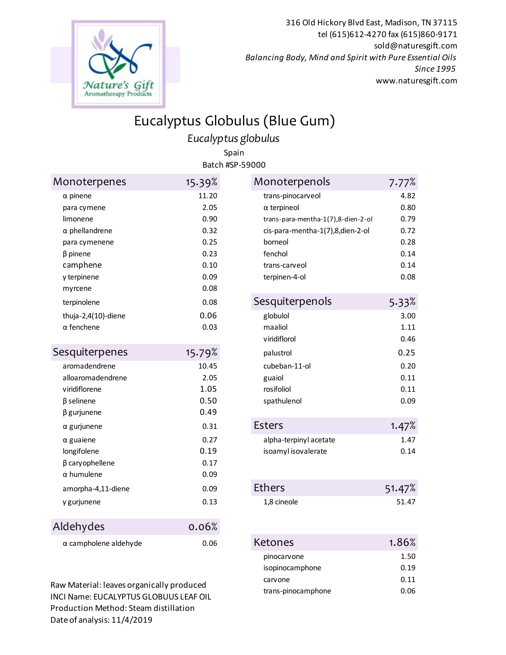

316 Old Hickory Blvd East, Madison, TN 37115 tel (615)612-4270 fax (615)860-9171 sold@naturesgift.com *Balancing Body, Mind and Spirit with Pure Essential Oils Since 1995* www.naturesgift.com

## Eucalyptus Globulus (Blue Gum)

*Eucalyptus globulus*

Spain Batch #SP-59000

| Monoterpenes                                                                                                                                                | 15.39%                                                                        | Monoterpenols                                                                                                                                                                                | 7.77%                                                                 |
|-------------------------------------------------------------------------------------------------------------------------------------------------------------|-------------------------------------------------------------------------------|----------------------------------------------------------------------------------------------------------------------------------------------------------------------------------------------|-----------------------------------------------------------------------|
| $\alpha$ pinene<br>para cymene<br>limonene<br>$\alpha$ phellandrene<br>para cymenene<br>$\beta$ pinene<br>camphene<br>γ terpinene<br>myrcene<br>terpinolene | 11.20<br>2.05<br>0.90<br>0.32<br>0.25<br>0.23<br>0.10<br>0.09<br>0.08<br>0.08 | trans-pinocarveol<br>$\alpha$ terpineol<br>trans-para-mentha-1(7),8-dien-2-ol<br>cis-para-mentha-1(7),8,dien-2-ol<br>borneol<br>fenchol<br>trans-carveol<br>terpinen-4-ol<br>Sesquiterpenols | 4.82<br>0.80<br>0.79<br>0.72<br>0.28<br>0.14<br>0.14<br>0.08<br>5.33% |
| thuja-2,4(10)-diene<br>$\alpha$ fenchene                                                                                                                    | 0.06<br>0.03                                                                  | globulol<br>maaliol<br>viridiflorol                                                                                                                                                          | 3.00<br>1.11<br>0.46                                                  |
| Sesquiterpenes<br>aromadendrene<br>alloaromadendrene<br>viridiflorene<br>$\beta$ selinene<br>$\beta$ gurjunene                                              | 15.79%<br>10.45<br>2.05<br>1.05<br>0.50<br>0.49                               | palustrol<br>cubeban-11-ol<br>guaiol<br>rosifoliol<br>spathulenol                                                                                                                            | 0.25<br>0.20<br>0.11<br>0.11<br>0.09                                  |
| $\alpha$ gurjunene<br>$\alpha$ guaiene<br>longifolene<br>$\beta$ cary ophellene<br>$\alpha$ humulene<br>amorpha-4,11-diene                                  | 0.31<br>0.27<br>0.19<br>0.17<br>0.09<br>0.09                                  | <b>Esters</b><br>alpha-terpinyl acetate<br>isoamyl isovalerate<br><b>Ethers</b>                                                                                                              | 1.47%<br>1.47<br>0.14<br>51.47%                                       |
| γ gurjunene<br>Aldehydes                                                                                                                                    | 0.13<br>0.06%                                                                 | 1,8 cineole                                                                                                                                                                                  | 51.47                                                                 |
| $\alpha$ campholene aldehyde                                                                                                                                | 0.06                                                                          | <b>Ketones</b>                                                                                                                                                                               | 1.86%                                                                 |

Raw Material: leaves organically produced INCI Name: EUCALYPTUS GLOBUUS LEAF OIL Production Method: Steam distillation Date of analysis: 11/4/2019

| Monoterpenols                      | 7.77%  |
|------------------------------------|--------|
| trans-pinocarveol                  | 4.82   |
| $\alpha$ terpineol                 | 0.80   |
| trans-para-mentha-1(7),8-dien-2-ol | 0.79   |
| cis-para-mentha-1(7),8,dien-2-ol   | 0.72   |
| borneol                            | 0.28   |
| fenchol                            | 0.14   |
| trans-carveol                      | 0.14   |
| terpinen-4-ol                      | 0.08   |
|                                    |        |
| Sesquiterpenols                    | 5.33%  |
| globulol                           | 3.00   |
| maaliol                            | 1.11   |
| viridiflorol                       | 0.46   |
| palustrol                          | 0.25   |
| cubeban-11-ol                      | 0.20   |
| guaiol                             | 0.11   |
| rosifoliol                         | 0.11   |
| spathulenol                        | 0.09   |
|                                    |        |
| Esters                             | 1.47%  |
| alpha-terpinyl acetate             | 1.47   |
| isoamyl isovalerate                | 0.14   |
|                                    |        |
| <b>Ethers</b>                      | 51.47% |
| 1,8 cineole                        | 51.47  |
|                                    |        |
|                                    |        |
|                                    |        |

| <etones< th=""><th>1.86%</th></etones<> | 1.86% |
|-----------------------------------------|-------|
| pinocarvone                             | 1.50  |
| isopinocamphone                         | 0.19  |
| carvone                                 | 0.11  |
| trans-pinocamphone                      | 0.06  |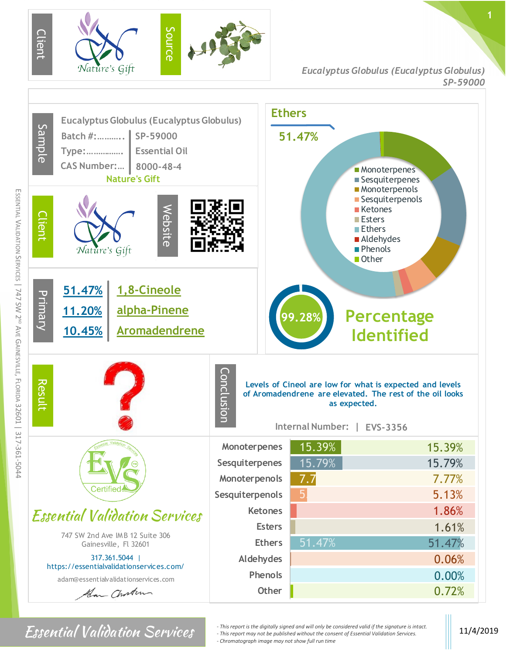

*Eucalyptus Globulus (Eucalyptus Globulus) SP-59000*



*For Sential Validation Services and with edigitally signed and will only be considered valid if the signature is intact.* 11/4/2019 **11/4/2019** *- This report may not be published without the consent of Essential Valida - This report may not be published without the consent of Essential Validation Services. - Chromatograph image may not show full run time*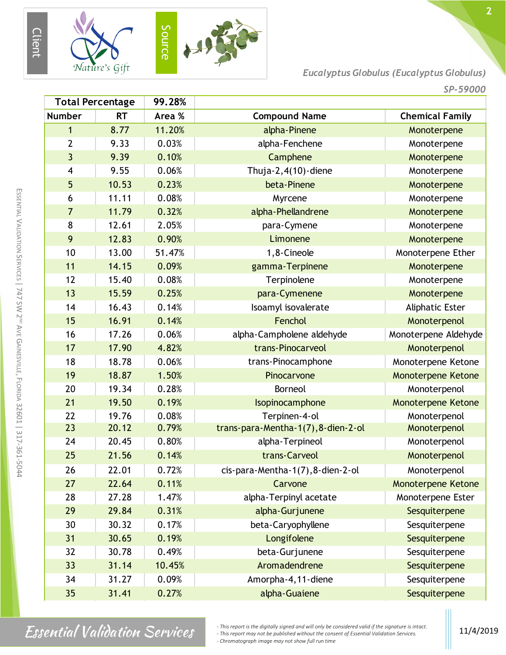

*Eucalyptus Globulus (Eucalyptus Globulus)*

*SP-59000*

| <b>Total Percentage</b> |           | 99.28% |                                     |                           |
|-------------------------|-----------|--------|-------------------------------------|---------------------------|
| <b>Number</b>           | <b>RT</b> | Area % | <b>Compound Name</b>                | <b>Chemical Family</b>    |
| 1                       | 8.77      | 11.20% | alpha-Pinene                        | Monoterpene               |
| $\overline{2}$          | 9.33      | 0.03%  | alpha-Fenchene                      | Monoterpene               |
| 3                       | 9.39      | 0.10%  | Camphene                            | Monoterpene               |
| $\overline{\mathbf{4}}$ | 9.55      | 0.06%  | Thuja- $2,4(10)$ -diene             | Monoterpene               |
| 5                       | 10.53     | 0.23%  | beta-Pinene                         | Monoterpene               |
| 6                       | 11.11     | 0.08%  | Myrcene                             | Monoterpene               |
| $\overline{7}$          | 11.79     | 0.32%  | alpha-Phellandrene                  | Monoterpene               |
| 8                       | 12.61     | 2.05%  | para-Cymene                         | Monoterpene               |
| 9                       | 12.83     | 0.90%  | Limonene                            | Monoterpene               |
| 10                      | 13.00     | 51.47% | 1,8-Cineole                         | Monoterpene Ether         |
| 11                      | 14.15     | 0.09%  | gamma-Terpinene                     | Monoterpene               |
| 12                      | 15.40     | 0.08%  | Terpinolene                         | Monoterpene               |
| 13                      | 15.59     | 0.25%  | para-Cymenene                       | Monoterpene               |
| 14                      | 16.43     | 0.14%  | Isoamyl isovalerate                 | Aliphatic Ester           |
| 15                      | 16.91     | 0.14%  | Fenchol                             | Monoterpenol              |
| 16                      | 17.26     | 0.06%  | alpha-Campholene aldehyde           | Monoterpene Aldehyde      |
| 17                      | 17.90     | 4.82%  | trans-Pinocarveol                   | Monoterpenol              |
| 18                      | 18.78     | 0.06%  | trans-Pinocamphone                  | Monoterpene Ketone        |
| 19                      | 18.87     | 1.50%  | Pinocarvone                         | <b>Monoterpene Ketone</b> |
| 20                      | 19.34     | 0.28%  | <b>Borneol</b>                      | Monoterpenol              |
| 21                      | 19.50     | 0.19%  | Isopinocamphone                     | <b>Monoterpene Ketone</b> |
| 22                      | 19.76     | 0.08%  | Terpinen-4-ol                       | Monoterpenol              |
| 23                      | 20.12     | 0.79%  | trans-para-Mentha-1(7), 8-dien-2-ol | Monoterpenol              |
| 24                      | 20.45     | 0.80%  | alpha-Terpineol                     | Monoterpenol              |
| 25                      | 21.56     | 0.14%  | trans-Carveol                       | Monoterpenol              |
| 26                      | 22.01     | 0.72%  | cis-para-Mentha-1(7), 8-dien-2-ol   | Monoterpenol              |
| 27                      | 22.64     | 0.11%  | Carvone                             | <b>Monoterpene Ketone</b> |
| 28                      | 27.28     | 1.47%  | alpha-Terpinyl acetate              | Monoterpene Ester         |
| 29                      | 29.84     | 0.31%  | alpha-Gurjunene                     | Sesquiterpene             |
| 30                      | 30.32     | 0.17%  | beta-Caryophyllene                  | Sesquiterpene             |
| 31                      | 30.65     | 0.19%  | Longifolene                         | Sesquiterpene             |
| 32                      | 30.78     | 0.49%  | beta-Gurjunene                      | Sesquiterpene             |
| 33                      | 31.14     | 10.45% | Aromadendrene                       | Sesquiterpene             |
| 34                      | 31.27     | 0.09%  | Amorpha-4, 11-diene                 | Sesquiterpene             |
| 35                      | 31.41     | 0.27%  | alpha-Guaiene                       | Sesquiterpene             |

*Finis report is the digitally signed and will only be considered valid if the signature is intact.*<br> *- This report may not be published without the consent of Essential Validation Services.*<br> *Changebour may not be publ - This report may not be published without the consent of Essential Validation Services. - Chromatograph image may not show full run time*